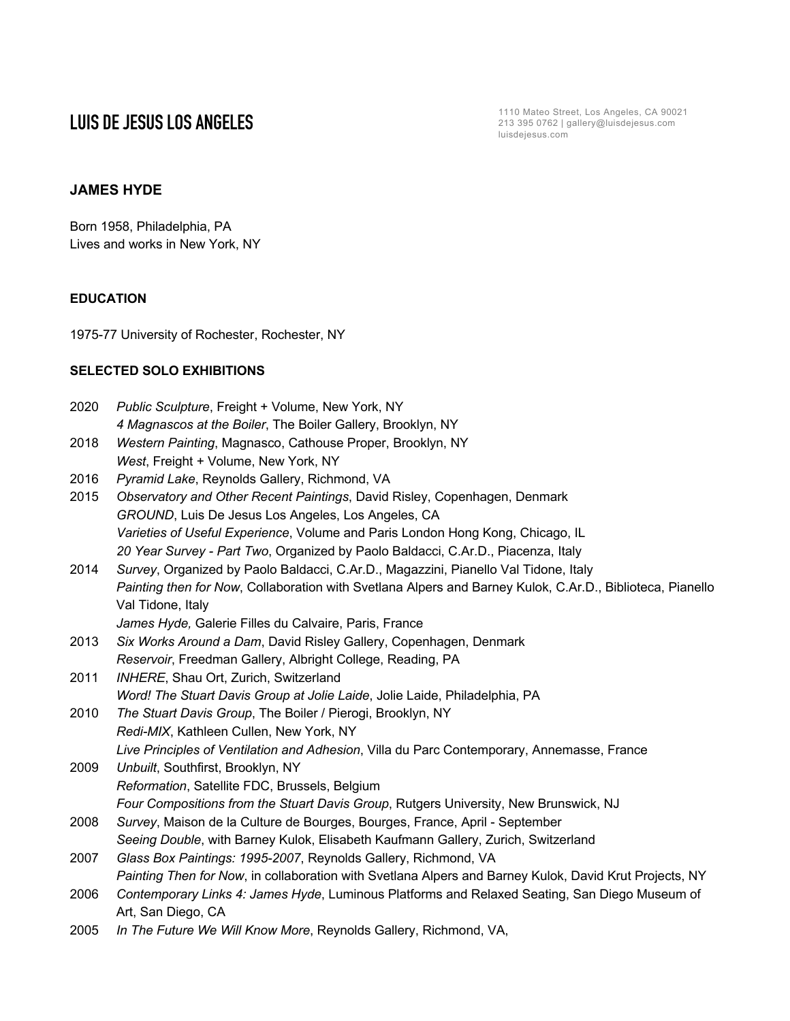**LUIS DE JESUS LOS ANGELES** 1110 Mateo Street, Los Angeles, CA 90021 213 395 0762 | gallery@luisdejesus.com luisdejesus.com

## **JAMES HYDE**

Born 1958, Philadelphia, PA Lives and works in New York, NY

# **EDUCATION**

1975-77 University of Rochester, Rochester, NY

## **SELECTED SOLO EXHIBITIONS**

| 2020 | Public Sculpture, Freight + Volume, New York, NY                                                          |
|------|-----------------------------------------------------------------------------------------------------------|
|      | 4 Magnascos at the Boiler, The Boiler Gallery, Brooklyn, NY                                               |
| 2018 | Western Painting, Magnasco, Cathouse Proper, Brooklyn, NY                                                 |
|      | West, Freight + Volume, New York, NY                                                                      |
| 2016 | Pyramid Lake, Reynolds Gallery, Richmond, VA                                                              |
| 2015 | Observatory and Other Recent Paintings, David Risley, Copenhagen, Denmark                                 |
|      | GROUND, Luis De Jesus Los Angeles, Los Angeles, CA                                                        |
|      | Varieties of Useful Experience, Volume and Paris London Hong Kong, Chicago, IL                            |
|      | 20 Year Survey - Part Two, Organized by Paolo Baldacci, C.Ar.D., Piacenza, Italy                          |
| 2014 | Survey, Organized by Paolo Baldacci, C.Ar.D., Magazzini, Pianello Val Tidone, Italy                       |
|      | Painting then for Now, Collaboration with Svetlana Alpers and Barney Kulok, C.Ar.D., Biblioteca, Pianello |
|      | Val Tidone, Italy                                                                                         |
|      | James Hyde, Galerie Filles du Calvaire, Paris, France                                                     |
| 2013 | Six Works Around a Dam, David Risley Gallery, Copenhagen, Denmark                                         |
|      | Reservoir, Freedman Gallery, Albright College, Reading, PA                                                |
| 2011 | INHERE, Shau Ort, Zurich, Switzerland                                                                     |
|      | Word! The Stuart Davis Group at Jolie Laide, Jolie Laide, Philadelphia, PA                                |
| 2010 | The Stuart Davis Group, The Boiler / Pierogi, Brooklyn, NY                                                |
|      | Redi-MIX, Kathleen Cullen, New York, NY                                                                   |
|      | Live Principles of Ventilation and Adhesion, Villa du Parc Contemporary, Annemasse, France                |
| 2009 | Unbuilt, Southfirst, Brooklyn, NY                                                                         |
|      | Reformation, Satellite FDC, Brussels, Belgium                                                             |
|      | Four Compositions from the Stuart Davis Group, Rutgers University, New Brunswick, NJ                      |
| 2008 | Survey, Maison de la Culture de Bourges, Bourges, France, April - September                               |
|      | Seeing Double, with Barney Kulok, Elisabeth Kaufmann Gallery, Zurich, Switzerland                         |
| 2007 | Glass Box Paintings: 1995-2007, Reynolds Gallery, Richmond, VA                                            |
|      | Painting Then for Now, in collaboration with Svetlana Alpers and Barney Kulok, David Krut Projects, NY    |
| 2006 | Contemporary Links 4: James Hyde, Luminous Platforms and Relaxed Seating, San Diego Museum of             |
|      | Art, San Diego, CA                                                                                        |
| 2005 | In The Future We Will Know More, Reynolds Gallery, Richmond, VA,                                          |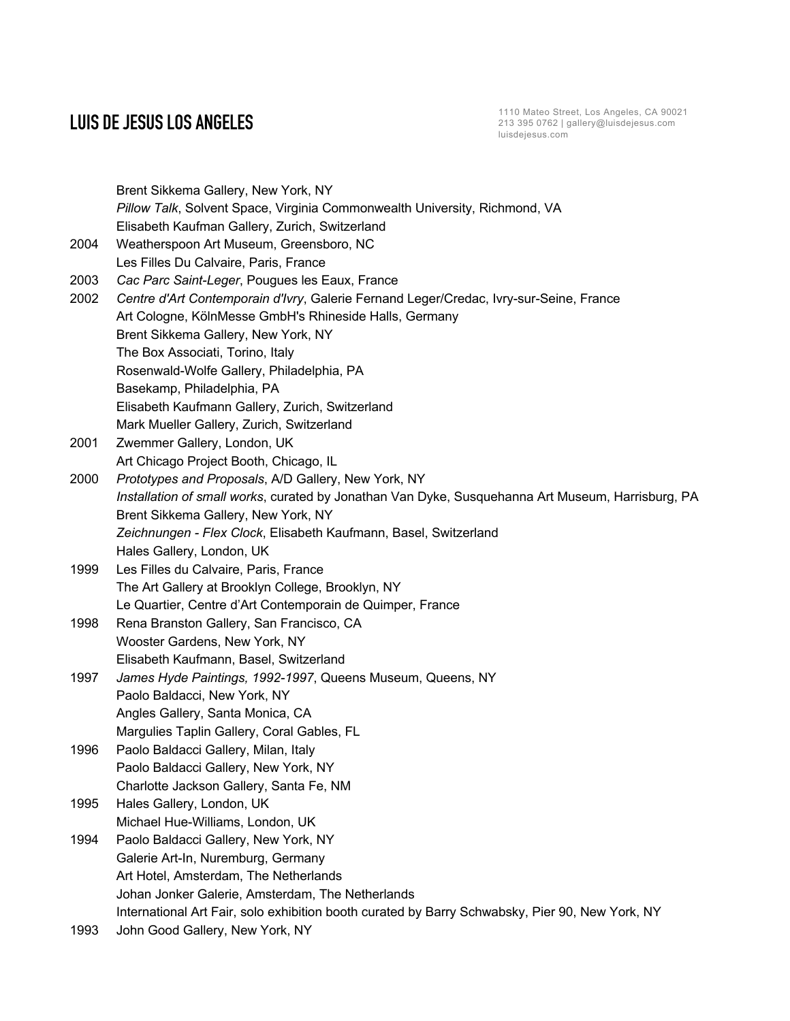**LUIS DE JESUS LOS ANGELES**<br>213 395 0762 | gallery@luisdejesus.com luisdejesus.com

|      | Brent Sikkema Gallery, New York, NY                                                               |
|------|---------------------------------------------------------------------------------------------------|
|      | Pillow Talk, Solvent Space, Virginia Commonwealth University, Richmond, VA                        |
|      | Elisabeth Kaufman Gallery, Zurich, Switzerland                                                    |
| 2004 | Weatherspoon Art Museum, Greensboro, NC                                                           |
|      | Les Filles Du Calvaire, Paris, France                                                             |
| 2003 | Cac Parc Saint-Leger, Pougues les Eaux, France                                                    |
| 2002 | Centre d'Art Contemporain d'Ivry, Galerie Fernand Leger/Credac, Ivry-sur-Seine, France            |
|      | Art Cologne, KölnMesse GmbH's Rhineside Halls, Germany                                            |
|      | Brent Sikkema Gallery, New York, NY                                                               |
|      | The Box Associati, Torino, Italy                                                                  |
|      | Rosenwald-Wolfe Gallery, Philadelphia, PA                                                         |
|      | Basekamp, Philadelphia, PA                                                                        |
|      | Elisabeth Kaufmann Gallery, Zurich, Switzerland                                                   |
|      | Mark Mueller Gallery, Zurich, Switzerland                                                         |
| 2001 | Zwemmer Gallery, London, UK                                                                       |
|      | Art Chicago Project Booth, Chicago, IL                                                            |
| 2000 | Prototypes and Proposals, A/D Gallery, New York, NY                                               |
|      | Installation of small works, curated by Jonathan Van Dyke, Susquehanna Art Museum, Harrisburg, PA |
|      | Brent Sikkema Gallery, New York, NY                                                               |
|      | Zeichnungen - Flex Clock, Elisabeth Kaufmann, Basel, Switzerland                                  |
|      | Hales Gallery, London, UK                                                                         |
| 1999 | Les Filles du Calvaire, Paris, France                                                             |
|      | The Art Gallery at Brooklyn College, Brooklyn, NY                                                 |
|      | Le Quartier, Centre d'Art Contemporain de Quimper, France                                         |
| 1998 | Rena Branston Gallery, San Francisco, CA                                                          |
|      | Wooster Gardens, New York, NY                                                                     |
|      | Elisabeth Kaufmann, Basel, Switzerland                                                            |
| 1997 | James Hyde Paintings, 1992-1997, Queens Museum, Queens, NY                                        |
|      | Paolo Baldacci, New York, NY                                                                      |
|      | Angles Gallery, Santa Monica, CA                                                                  |
|      | Margulies Taplin Gallery, Coral Gables, FL                                                        |
| 1996 | Paolo Baldacci Gallery, Milan, Italy                                                              |
|      | Paolo Baldacci Gallery, New York, NY                                                              |
|      | Charlotte Jackson Gallery, Santa Fe, NM                                                           |
| 1995 | Hales Gallery, London, UK                                                                         |
|      | Michael Hue-Williams, London, UK                                                                  |
| 1994 | Paolo Baldacci Gallery, New York, NY                                                              |
|      | Galerie Art-In, Nuremburg, Germany                                                                |
|      | Art Hotel, Amsterdam, The Netherlands                                                             |
|      | Johan Jonker Galerie, Amsterdam, The Netherlands                                                  |
|      | International Art Fair, solo exhibition booth curated by Barry Schwabsky, Pier 90, New York, NY   |
| 1993 | John Good Gallery, New York, NY                                                                   |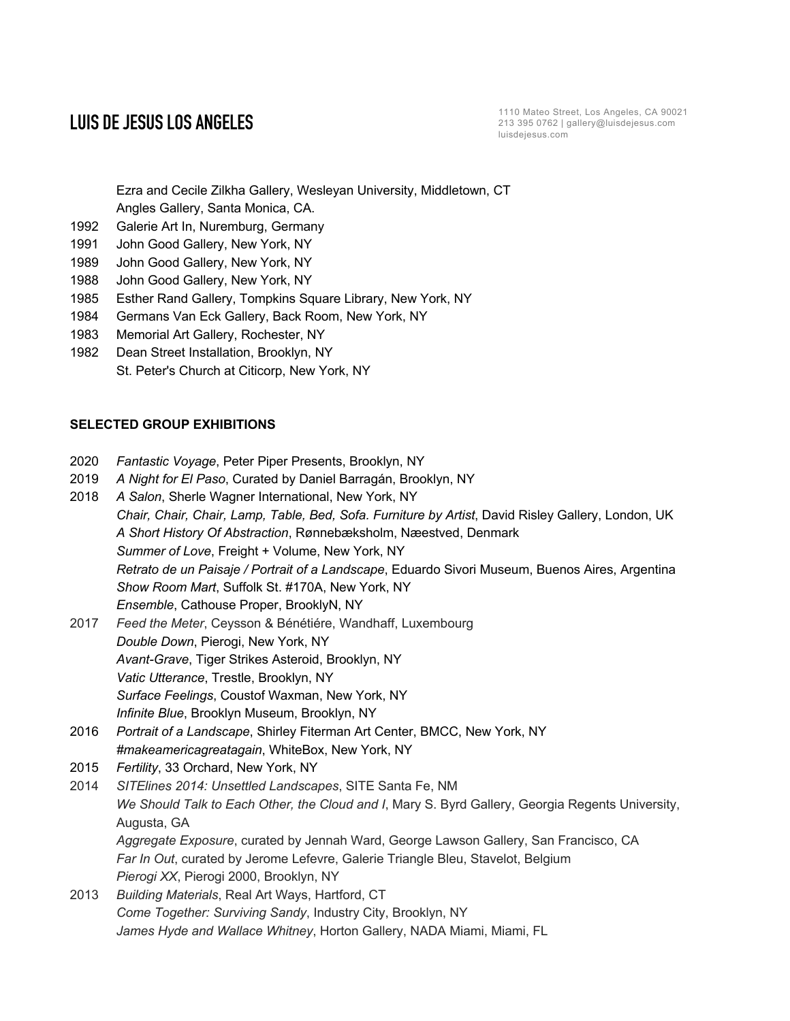Ezra and Cecile Zilkha Gallery, Wesleyan University, Middletown, CT

Angles Gallery, Santa Monica, CA.

- 1992 Galerie Art In, Nuremburg, Germany
- 1991 John Good Gallery, New York, NY
- 1989 John Good Gallery, New York, NY
- 1988 John Good Gallery, New York, NY
- 1985 Esther Rand Gallery, Tompkins Square Library, New York, NY
- 1984 Germans Van Eck Gallery, Back Room, New York, NY
- 1983 Memorial Art Gallery, Rochester, NY
- 1982 Dean Street Installation, Brooklyn, NY St. Peter's Church at Citicorp, New York, NY

# **SELECTED GROUP EXHIBITIONS**

- 2020 *Fantastic Voyage*, Peter Piper Presents, Brooklyn, NY
- 2019 *A Night for El Paso*, Curated by Daniel Barragán, Brooklyn, NY
- 2018 *A Salon*, Sherle Wagner International, New York, NY *Chair, Chair, Chair, Lamp, Table, Bed, Sofa. Furniture by Artist*, David Risley Gallery, London, UK *A Short History Of Abstraction*, Rønnebæksholm, Næestved, Denmark *Summer of Love*, Freight + Volume, New York, NY *Retrato de un Paisaje / Portrait of a Landscape*, Eduardo Sivori Museum, Buenos Aires, Argentina *Show Room Mart*, Suffolk St. #170A, New York, NY *Ensemble*, Cathouse Proper, BrooklyN, NY
- 2017 *Feed the Meter*, Ceysson & Bénétiére, Wandhaff, Luxembourg *Double Down*, Pierogi, New York, NY *Avant-Grave*, Tiger Strikes Asteroid, Brooklyn, NY *Vatic Utterance*, Trestle, Brooklyn, NY *Surface Feelings*, Coustof Waxman, New York, NY *Infinite Blue*, Brooklyn Museum, Brooklyn, NY
- 2016 *Portrait of a Landscape*, Shirley Fiterman Art Center, BMCC, New York, NY *#makeamericagreatagain*, WhiteBox, New York, NY
- 2015 *Fertility*, 33 Orchard, New York, NY
- 2014 *SITElines 2014: Unsettled Landscapes*, SITE Santa Fe, NM *We Should Talk to Each Other, the Cloud and I*, Mary S. Byrd Gallery, Georgia Regents University, Augusta, GA *Aggregate Exposure*, curated by Jennah Ward, George Lawson Gallery, San Francisco, CA *Far In Out*, curated by Jerome Lefevre, Galerie Triangle Bleu, Stavelot, Belgium *Pierogi XX*, Pierogi 2000, Brooklyn, NY
- 2013 *Building Materials*, Real Art Ways, Hartford, CT *Come Together: Surviving Sandy*, Industry City, Brooklyn, NY *James Hyde and Wallace Whitney*, Horton Gallery, NADA Miami, Miami, FL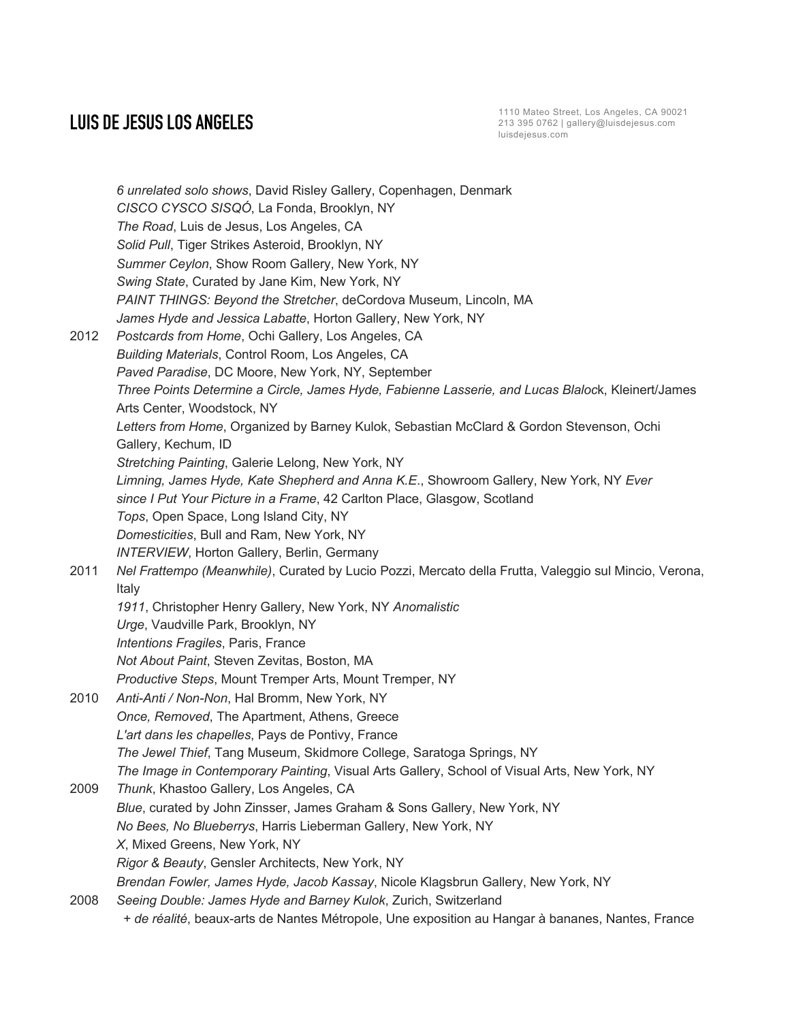*6 unrelated solo shows*, David Risley Gallery, Copenhagen, Denmark *CISCO CYSCO SISQÓ*, La Fonda, Brooklyn, NY *The Road*, Luis de Jesus, Los Angeles, CA *Solid Pull*, Tiger Strikes Asteroid, Brooklyn, NY *Summer Ceylon*, Show Room Gallery, New York, NY *Swing State*, Curated by Jane Kim, New York, NY *PAINT THINGS: Beyond the Stretcher*, deCordova Museum, Lincoln, MA *James Hyde and Jessica Labatte*, Horton Gallery, New York, NY 2012 *Postcards from Home*, Ochi Gallery, Los Angeles, CA *Building Materials*, Control Room, Los Angeles, CA *Paved Paradise*, DC Moore, New York, NY, September *Three Points Determine a Circle, James Hyde, Fabienne Lasserie, and Lucas Blaloc*k, Kleinert/James Arts Center, Woodstock, NY *Letters from Home*, Organized by Barney Kulok, Sebastian McClard & Gordon Stevenson, Ochi Gallery, Kechum, ID *Stretching Painting*, Galerie Lelong, New York, NY *Limning, James Hyde, Kate Shepherd and Anna K.E*., Showroom Gallery, New York, NY *Ever since I Put Your Picture in a Frame*, 42 Carlton Place, Glasgow, Scotland *Tops*, Open Space, Long Island City, NY *Domesticities*, Bull and Ram, New York, NY *INTERVIEW*, Horton Gallery, Berlin, Germany 2011 *Nel Frattempo (Meanwhile)*, Curated by Lucio Pozzi, Mercato della Frutta, Valeggio sul Mincio, Verona, Italy *1911*, Christopher Henry Gallery, New York, NY *Anomalistic Urge*, Vaudville Park, Brooklyn, NY *Intentions Fragiles*, Paris, France *Not About Paint*, Steven Zevitas, Boston, MA *Productive Steps*, Mount Tremper Arts, Mount Tremper, NY 2010 *Anti-Anti / Non-Non*, Hal Bromm, New York, NY *Once, Removed*, The Apartment, Athens, Greece *L'art dans les chapelles*, Pays de Pontivy, France *The Jewel Thief*, Tang Museum, Skidmore College, Saratoga Springs, NY *The Image in Contemporary Painting*, Visual Arts Gallery, School of Visual Arts, New York, NY 2009 *Thunk*, Khastoo Gallery, Los Angeles, CA *Blue*, curated by John Zinsser, James Graham & Sons Gallery, New York, NY *No Bees, No Blueberrys*, Harris Lieberman Gallery, New York, NY *X*, Mixed Greens, New York, NY *Rigor & Beauty*, Gensler Architects, New York, NY *Brendan Fowler, James Hyde, Jacob Kassay*, Nicole Klagsbrun Gallery, New York, NY 2008 *Seeing Double: James Hyde and Barney Kulok*, Zurich, Switzerland *+ de réalité*, beaux-arts de Nantes Métropole, Une exposition au Hangar à bananes, Nantes, France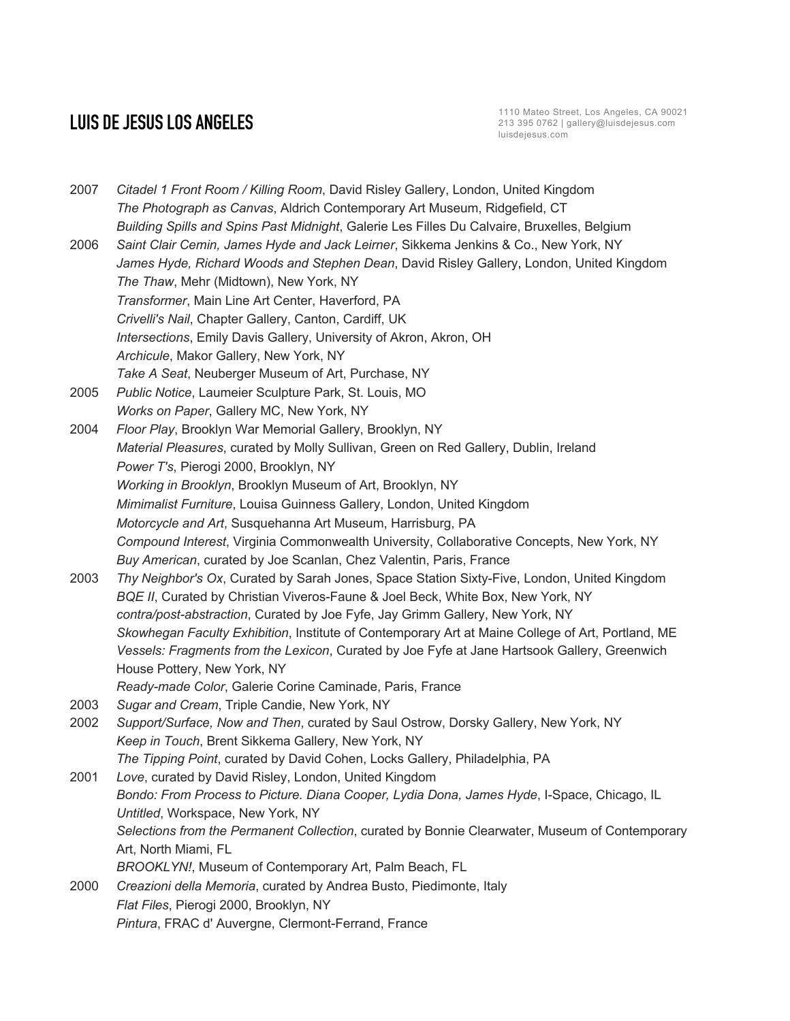2007 *Citadel 1 Front Room / Killing Room*, David Risley Gallery, London, United Kingdom *The Photograph as Canvas*, Aldrich Contemporary Art Museum, Ridgefield, CT *Building Spills and Spins Past Midnight*, Galerie Les Filles Du Calvaire, Bruxelles, Belgium 2006 *Saint Clair Cemin, James Hyde and Jack Leirner*, Sikkema Jenkins & Co., New York, NY *James Hyde, Richard Woods and Stephen Dean*, David Risley Gallery, London, United Kingdom *The Thaw*, Mehr (Midtown), New York, NY *Transformer*, Main Line Art Center, Haverford, PA *Crivelli's Nail*, Chapter Gallery, Canton, Cardiff, UK *Intersections*, Emily Davis Gallery, University of Akron, Akron, OH *Archicule*, Makor Gallery, New York, NY *Take A Seat*, Neuberger Museum of Art, Purchase, NY 2005 *Public Notice*, Laumeier Sculpture Park, St. Louis, MO *Works on Paper*, Gallery MC, New York, NY 2004 *Floor Play*, Brooklyn War Memorial Gallery, Brooklyn, NY *Material Pleasures*, curated by Molly Sullivan, Green on Red Gallery, Dublin, Ireland *Power T's*, Pierogi 2000, Brooklyn, NY *Working in Brooklyn*, Brooklyn Museum of Art, Brooklyn, NY *Mimimalist Furniture*, Louisa Guinness Gallery, London, United Kingdom *Motorcycle and Art*, Susquehanna Art Museum, Harrisburg, PA *Compound Interest*, Virginia Commonwealth University, Collaborative Concepts, New York, NY *Buy American*, curated by Joe Scanlan, Chez Valentin, Paris, France 2003 *Thy Neighbor's Ox*, Curated by Sarah Jones, Space Station Sixty-Five, London, United Kingdom *BQE II*, Curated by Christian Viveros-Faune & Joel Beck, White Box, New York, NY *contra/post-abstraction*, Curated by Joe Fyfe, Jay Grimm Gallery, New York, NY *Skowhegan Faculty Exhibition*, Institute of Contemporary Art at Maine College of Art, Portland, ME *Vessels: Fragments from the Lexicon*, Curated by Joe Fyfe at Jane Hartsook Gallery, Greenwich House Pottery, New York, NY *Ready-made Color*, Galerie Corine Caminade, Paris, France 2003 *Sugar and Cream*, Triple Candie, New York, NY 2002 *Support/Surface, Now and Then*, curated by Saul Ostrow, Dorsky Gallery, New York, NY *Keep in Touch*, Brent Sikkema Gallery, New York, NY *The Tipping Point*, curated by David Cohen, Locks Gallery, Philadelphia, PA 2001 *Love*, curated by David Risley, London, United Kingdom *Bondo: From Process to Picture. Diana Cooper, Lydia Dona, James Hyde*, I-Space, Chicago, IL *Untitled*, Workspace, New York, NY *Selections from the Permanent Collection*, curated by Bonnie Clearwater, Museum of Contemporary Art, North Miami, FL *BROOKLYN!*, Museum of Contemporary Art, Palm Beach, FL 2000 *Creazioni della Memoria*, curated by Andrea Busto, Piedimonte, Italy *Flat Files*, Pierogi 2000, Brooklyn, NY *Pintura*, FRAC d' Auvergne, Clermont-Ferrand, France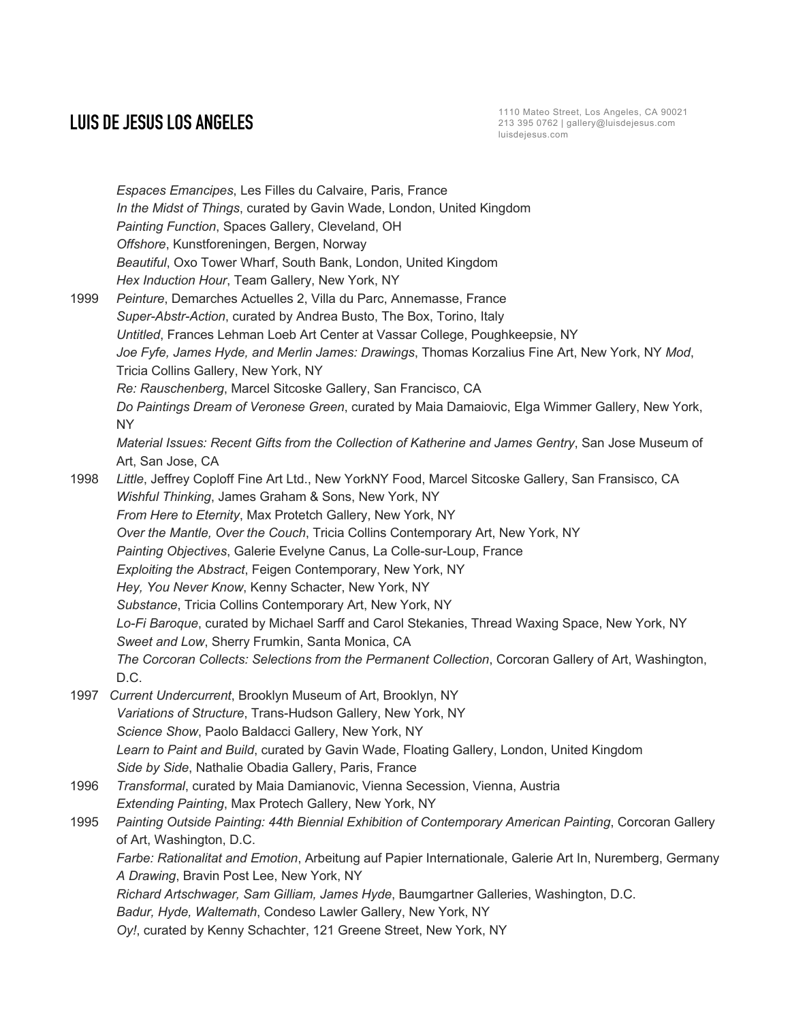*Espaces Emancipes*, Les Filles du Calvaire, Paris, France *In the Midst of Things*, curated by Gavin Wade, London, United Kingdom *Painting Function*, Spaces Gallery, Cleveland, OH *Offshore*, Kunstforeningen, Bergen, Norway *Beautiful*, Oxo Tower Wharf, South Bank, London, United Kingdom *Hex Induction Hour*, Team Gallery, New York, NY 1999 *Peinture*, Demarches Actuelles 2, Villa du Parc, Annemasse, France *Super-Abstr-Action*, curated by Andrea Busto, The Box, Torino, Italy *Untitled*, Frances Lehman Loeb Art Center at Vassar College, Poughkeepsie, NY *Joe Fyfe, James Hyde, and Merlin James: Drawings*, Thomas Korzalius Fine Art, New York, NY *Mod*, Tricia Collins Gallery, New York, NY *Re: Rauschenberg*, Marcel Sitcoske Gallery, San Francisco, CA *Do Paintings Dream of Veronese Green*, curated by Maia Damaiovic, Elga Wimmer Gallery, New York, NY *Material Issues: Recent Gifts from the Collection of Katherine and James Gentry*, San Jose Museum of Art, San Jose, CA 1998 *Little*, Jeffrey Coploff Fine Art Ltd., New YorkNY Food, Marcel Sitcoske Gallery, San Fransisco, CA *Wishful Thinking*, James Graham & Sons, New York, NY *From Here to Eternity*, Max Protetch Gallery, New York, NY *Over the Mantle, Over the Couch*, Tricia Collins Contemporary Art, New York, NY *Painting Objectives*, Galerie Evelyne Canus, La Colle-sur-Loup, France *Exploiting the Abstract*, Feigen Contemporary, New York, NY *Hey, You Never Know*, Kenny Schacter, New York, NY *Substance*, Tricia Collins Contemporary Art, New York, NY *Lo-Fi Baroque*, curated by Michael Sarff and Carol Stekanies, Thread Waxing Space, New York, NY *Sweet and Low*, Sherry Frumkin, Santa Monica, CA *The Corcoran Collects: Selections from the Permanent Collection*, Corcoran Gallery of Art, Washington, D.C. 1997 *Current Undercurrent*, Brooklyn Museum of Art, Brooklyn, NY *Variations of Structure*, Trans-Hudson Gallery, New York, NY *Science Show*, Paolo Baldacci Gallery, New York, NY *Learn to Paint and Build*, curated by Gavin Wade, Floating Gallery, London, United Kingdom *Side by Side*, Nathalie Obadia Gallery, Paris, France 1996 *Transformal*, curated by Maia Damianovic, Vienna Secession, Vienna, Austria *Extending Painting*, Max Protech Gallery, New York, NY 1995 *Painting Outside Painting: 44th Biennial Exhibition of Contemporary American Painting*, Corcoran Gallery of Art, Washington, D.C. *Farbe: Rationalitat and Emotion*, Arbeitung auf Papier Internationale, Galerie Art In, Nuremberg, Germany *A Drawing*, Bravin Post Lee, New York, NY *Richard Artschwager, Sam Gilliam, James Hyde*, Baumgartner Galleries, Washington, D.C. *Badur, Hyde, Waltemath*, Condeso Lawler Gallery, New York, NY *Oy!*, curated by Kenny Schachter, 121 Greene Street, New York, NY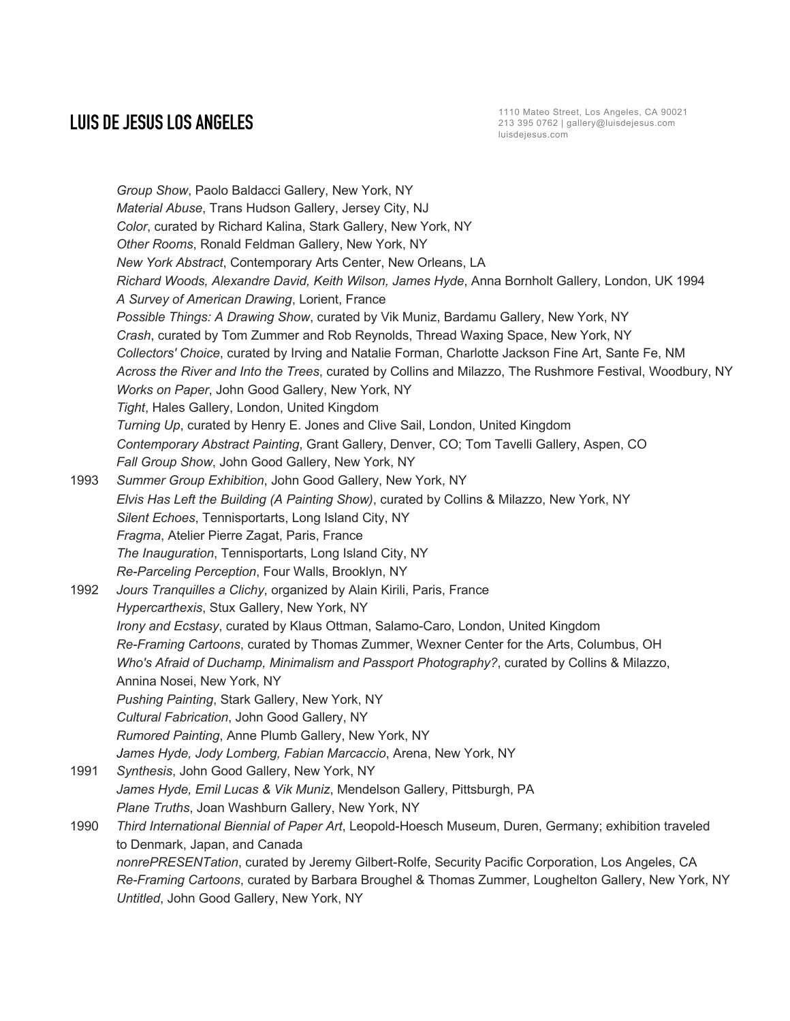*Group Show*, Paolo Baldacci Gallery, New York, NY *Material Abuse*, Trans Hudson Gallery, Jersey City, NJ *Color*, curated by Richard Kalina, Stark Gallery, New York, NY *Other Rooms*, Ronald Feldman Gallery, New York, NY *New York Abstract*, Contemporary Arts Center, New Orleans, LA *Richard Woods, Alexandre David, Keith Wilson, James Hyde*, Anna Bornholt Gallery, London, UK 1994 *A Survey of American Drawing*, Lorient, France *Possible Things: A Drawing Show*, curated by Vik Muniz, Bardamu Gallery, New York, NY *Crash*, curated by Tom Zummer and Rob Reynolds, Thread Waxing Space, New York, NY *Collectors' Choice*, curated by Irving and Natalie Forman, Charlotte Jackson Fine Art, Sante Fe, NM *Across the River and Into the Trees*, curated by Collins and Milazzo, The Rushmore Festival, Woodbury, NY *Works on Paper*, John Good Gallery, New York, NY *Tight*, Hales Gallery, London, United Kingdom *Turning Up*, curated by Henry E. Jones and Clive Sail, London, United Kingdom *Contemporary Abstract Painting*, Grant Gallery, Denver, CO; Tom Tavelli Gallery, Aspen, CO *Fall Group Show*, John Good Gallery, New York, NY 1993 *Summer Group Exhibition*, John Good Gallery, New York, NY *Elvis Has Left the Building (A Painting Show)*, curated by Collins & Milazzo, New York, NY *Silent Echoes*, Tennisportarts, Long Island City, NY *Fragma*, Atelier Pierre Zagat, Paris, France *The Inauguration*, Tennisportarts, Long Island City, NY *Re-Parceling Perception*, Four Walls, Brooklyn, NY 1992 *Jours Tranquilles a Clichy*, organized by Alain Kirili, Paris, France *Hypercarthexis*, Stux Gallery, New York, NY *Irony and Ecstasy*, curated by Klaus Ottman, Salamo-Caro, London, United Kingdom *Re-Framing Cartoons*, curated by Thomas Zummer, Wexner Center for the Arts, Columbus, OH *Who's Afraid of Duchamp, Minimalism and Passport Photography?*, curated by Collins & Milazzo, Annina Nosei, New York, NY *Pushing Painting*, Stark Gallery, New York, NY *Cultural Fabrication*, John Good Gallery, NY *Rumored Painting*, Anne Plumb Gallery, New York, NY *James Hyde, Jody Lomberg, Fabian Marcaccio*, Arena, New York, NY 1991 *Synthesis*, John Good Gallery, New York, NY *James Hyde, Emil Lucas & Vik Muniz*, Mendelson Gallery, Pittsburgh, PA *Plane Truths*, Joan Washburn Gallery, New York, NY 1990 *Third International Biennial of Paper Art*, Leopold-Hoesch Museum, Duren, Germany; exhibition traveled to Denmark, Japan, and Canada *nonrePRESENTation*, curated by Jeremy Gilbert-Rolfe, Security Pacific Corporation, Los Angeles, CA *Re-Framing Cartoons*, curated by Barbara Broughel & Thomas Zummer, Loughelton Gallery, New York, NY

*Untitled*, John Good Gallery, New York, NY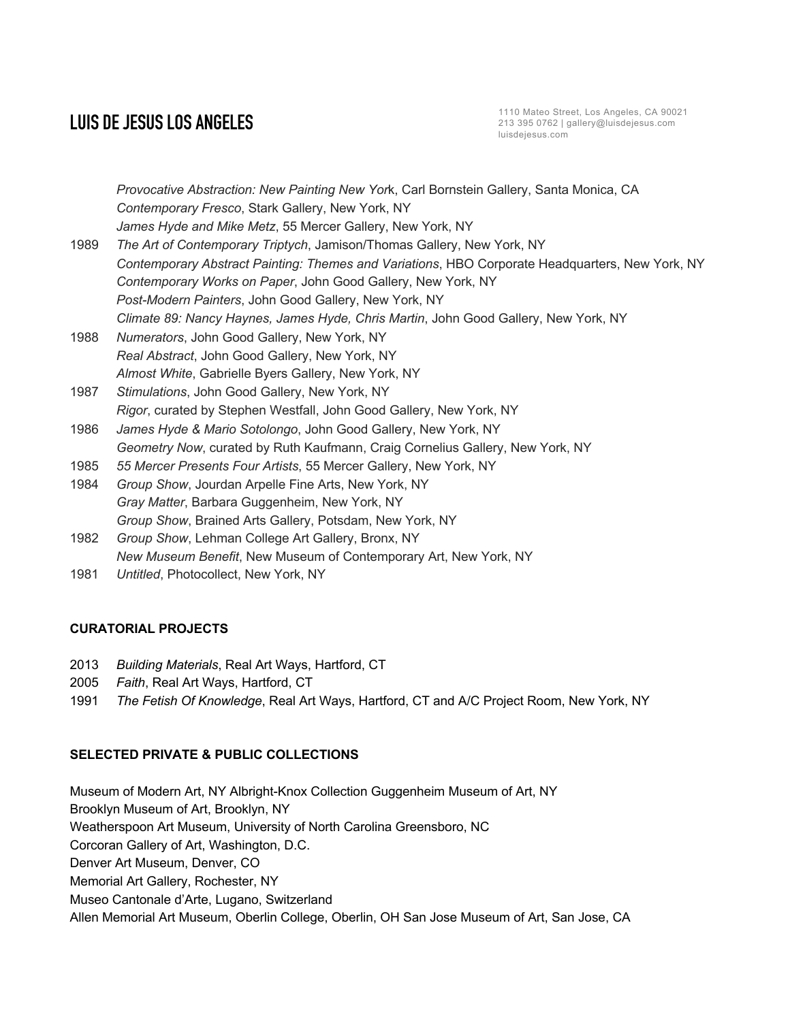*Provocative Abstraction: New Painting New Yor*k, Carl Bornstein Gallery, Santa Monica, CA *Contemporary Fresco*, Stark Gallery, New York, NY *James Hyde and Mike Metz*, 55 Mercer Gallery, New York, NY 1989 *The Art of Contemporary Triptych*, Jamison/Thomas Gallery, New York, NY *Contemporary Abstract Painting: Themes and Variations*, HBO Corporate Headquarters, New York, NY *Contemporary Works on Paper*, John Good Gallery, New York, NY *Post-Modern Painters*, John Good Gallery, New York, NY *Climate 89: Nancy Haynes, James Hyde, Chris Martin*, John Good Gallery, New York, NY 1988 *Numerators*, John Good Gallery, New York, NY *Real Abstract*, John Good Gallery, New York, NY *Almost White*, Gabrielle Byers Gallery, New York, NY 1987 *Stimulations*, John Good Gallery, New York, NY *Rigor*, curated by Stephen Westfall, John Good Gallery, New York, NY 1986 *James Hyde & Mario Sotolongo*, John Good Gallery, New York, NY *Geometry Now*, curated by Ruth Kaufmann, Craig Cornelius Gallery, New York, NY 1985 *55 Mercer Presents Four Artists*, 55 Mercer Gallery, New York, NY 1984 *Group Show*, Jourdan Arpelle Fine Arts, New York, NY *Gray Matter*, Barbara Guggenheim, New York, NY *Group Show*, Brained Arts Gallery, Potsdam, New York, NY 1982 *Group Show*, Lehman College Art Gallery, Bronx, NY *New Museum Benefit*, New Museum of Contemporary Art, New York, NY

1981 *Untitled*, Photocollect, New York, NY

### **CURATORIAL PROJECTS**

- 2013 *Building Materials*, Real Art Ways, Hartford, CT
- 2005 *Faith*, Real Art Ways, Hartford, CT
- 1991 *The Fetish Of Knowledge*, Real Art Ways, Hartford, CT and A/C Project Room, New York, NY

### **SELECTED PRIVATE & PUBLIC COLLECTIONS**

Museum of Modern Art, NY Albright-Knox Collection Guggenheim Museum of Art, NY Brooklyn Museum of Art, Brooklyn, NY Weatherspoon Art Museum, University of North Carolina Greensboro, NC Corcoran Gallery of Art, Washington, D.C. Denver Art Museum, Denver, CO Memorial Art Gallery, Rochester, NY Museo Cantonale d'Arte, Lugano, Switzerland Allen Memorial Art Museum, Oberlin College, Oberlin, OH San Jose Museum of Art, San Jose, CA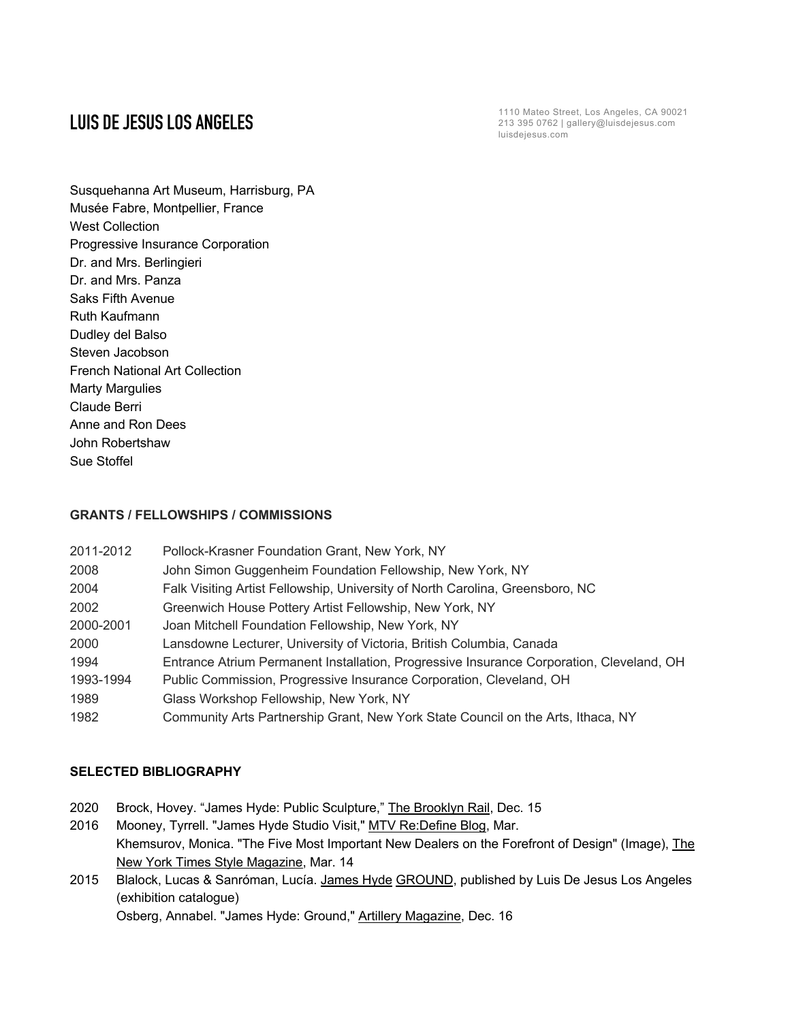Susquehanna Art Museum, Harrisburg, PA Musée Fabre, Montpellier, France West Collection Progressive Insurance Corporation Dr. and Mrs. Berlingieri Dr. and Mrs. Panza Saks Fifth Avenue Ruth Kaufmann Dudley del Balso Steven Jacobson French National Art Collection Marty Margulies Claude Berri Anne and Ron Dees John Robertshaw Sue Stoffel

## **GRANTS / FELLOWSHIPS / COMMISSIONS**

| 2011-2012 | Pollock-Krasner Foundation Grant, New York, NY                                           |
|-----------|------------------------------------------------------------------------------------------|
| 2008      | John Simon Guggenheim Foundation Fellowship, New York, NY                                |
| 2004      | Falk Visiting Artist Fellowship, University of North Carolina, Greensboro, NC            |
| 2002      | Greenwich House Pottery Artist Fellowship, New York, NY                                  |
| 2000-2001 | Joan Mitchell Foundation Fellowship, New York, NY                                        |
| 2000      | Lansdowne Lecturer, University of Victoria, British Columbia, Canada                     |
| 1994      | Entrance Atrium Permanent Installation, Progressive Insurance Corporation, Cleveland, OH |
| 1993-1994 | Public Commission, Progressive Insurance Corporation, Cleveland, OH                      |
| 1989      | Glass Workshop Fellowship, New York, NY                                                  |
| 1982      | Community Arts Partnership Grant, New York State Council on the Arts, Ithaca, NY         |

## **SELECTED BIBLIOGRAPHY**

- 2020 Brock, Hovey. "James Hyde: Public Sculpture," The Brooklyn Rail, Dec. 15
- 2016 Mooney, Tyrrell. "James Hyde Studio Visit," MTV Re:Define Blog, Mar. Khemsurov, Monica. "The Five Most Important New Dealers on the Forefront of Design" (Image), The New York Times Style Magazine, Mar. 14
- 2015 Blalock, Lucas & Sanróman, Lucía. James Hyde GROUND, published by Luis De Jesus Los Angeles (exhibition catalogue)

Osberg, Annabel. "James Hyde: Ground," Artillery Magazine, Dec. 16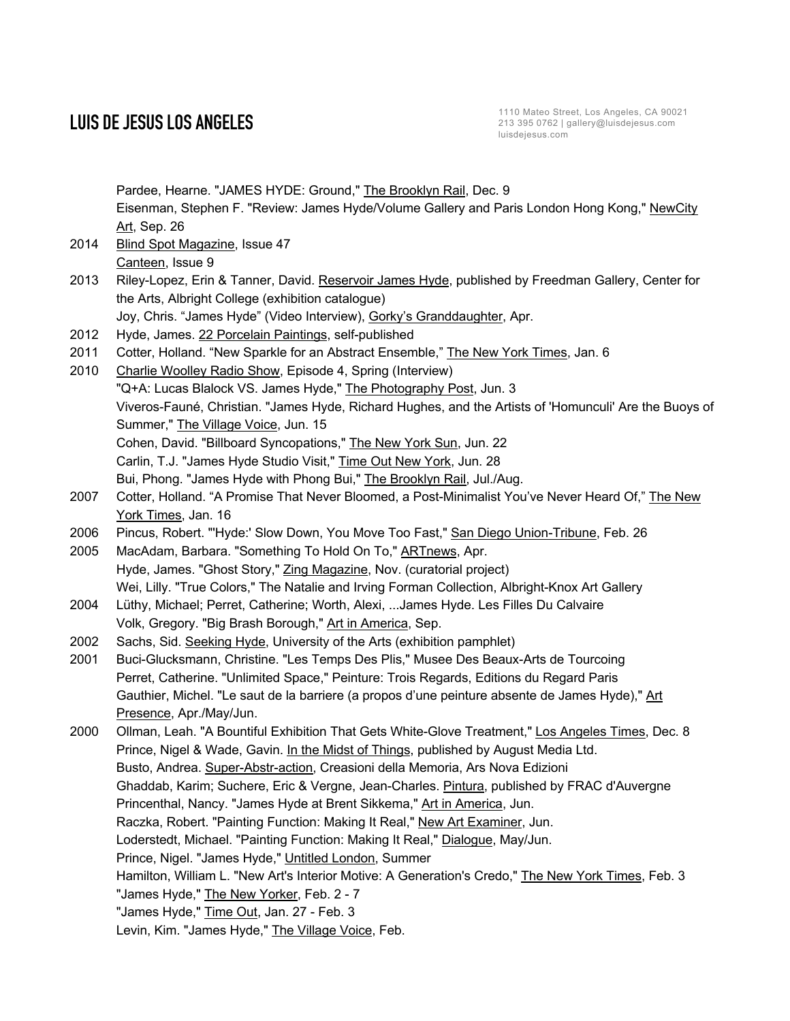Pardee, Hearne. "JAMES HYDE: Ground," The Brooklyn Rail, Dec. 9 Eisenman, Stephen F. "Review: James Hyde/Volume Gallery and Paris London Hong Kong," NewCity Art, Sep. 26 2014 Blind Spot Magazine, Issue 47 Canteen, Issue 9 2013 Riley-Lopez, Erin & Tanner, David. Reservoir James Hyde, published by Freedman Gallery, Center for the Arts, Albright College (exhibition catalogue) Joy, Chris. "James Hyde" (Video Interview), Gorky's Granddaughter, Apr. 2012 Hyde, James. 22 Porcelain Paintings, self-published 2011 Cotter, Holland. "New Sparkle for an Abstract Ensemble," The New York Times, Jan. 6 2010 Charlie Woolley Radio Show, Episode 4, Spring (Interview) "Q+A: Lucas Blalock VS. James Hyde," The Photography Post, Jun. 3 Viveros-Fauné, Christian. "James Hyde, Richard Hughes, and the Artists of 'Homunculi' Are the Buoys of Summer," The Village Voice, Jun. 15 Cohen, David. "Billboard Syncopations," The New York Sun, Jun. 22 Carlin, T.J. "James Hyde Studio Visit," Time Out New York, Jun. 28 Bui, Phong. "James Hyde with Phong Bui," The Brooklyn Rail, Jul./Aug. 2007 Cotter, Holland. "A Promise That Never Bloomed, a Post-Minimalist You've Never Heard Of," The New York Times, Jan. 16 2006 Pincus, Robert. "'Hyde:' Slow Down, You Move Too Fast," San Diego Union-Tribune, Feb. 26 2005 MacAdam, Barbara. "Something To Hold On To," ARTnews, Apr. Hyde, James. "Ghost Story," Zing Magazine, Nov. (curatorial project) Wei, Lilly. "True Colors," The Natalie and Irving Forman Collection, Albright-Knox Art Gallery 2004 Lüthy, Michael; Perret, Catherine; Worth, Alexi, ...James Hyde. Les Filles Du Calvaire Volk, Gregory. "Big Brash Borough," Art in America, Sep. 2002 Sachs, Sid. Seeking Hyde, University of the Arts (exhibition pamphlet) 2001 Buci-Glucksmann, Christine. "Les Temps Des Plis," Musee Des Beaux-Arts de Tourcoing Perret, Catherine. "Unlimited Space," Peinture: Trois Regards, Editions du Regard Paris Gauthier, Michel. "Le saut de la barriere (a propos d'une peinture absente de James Hyde)," Art Presence, Apr./May/Jun. 2000 Ollman, Leah. "A Bountiful Exhibition That Gets White-Glove Treatment," Los Angeles Times, Dec. 8 Prince, Nigel & Wade, Gavin. In the Midst of Things, published by August Media Ltd. Busto, Andrea. Super-Abstr-action, Creasioni della Memoria, Ars Nova Edizioni Ghaddab, Karim; Suchere, Eric & Vergne, Jean-Charles. Pintura, published by FRAC d'Auvergne Princenthal, Nancy. "James Hyde at Brent Sikkema," Art in America, Jun. Raczka, Robert. "Painting Function: Making It Real," New Art Examiner, Jun. Loderstedt, Michael. "Painting Function: Making It Real," Dialogue, May/Jun. Prince, Nigel. "James Hyde," Untitled London, Summer Hamilton, William L. "New Art's Interior Motive: A Generation's Credo," The New York Times, Feb. 3 "James Hyde," The New Yorker, Feb. 2 - 7 "James Hyde," Time Out, Jan. 27 - Feb. 3 Levin, Kim. "James Hyde," The Village Voice, Feb.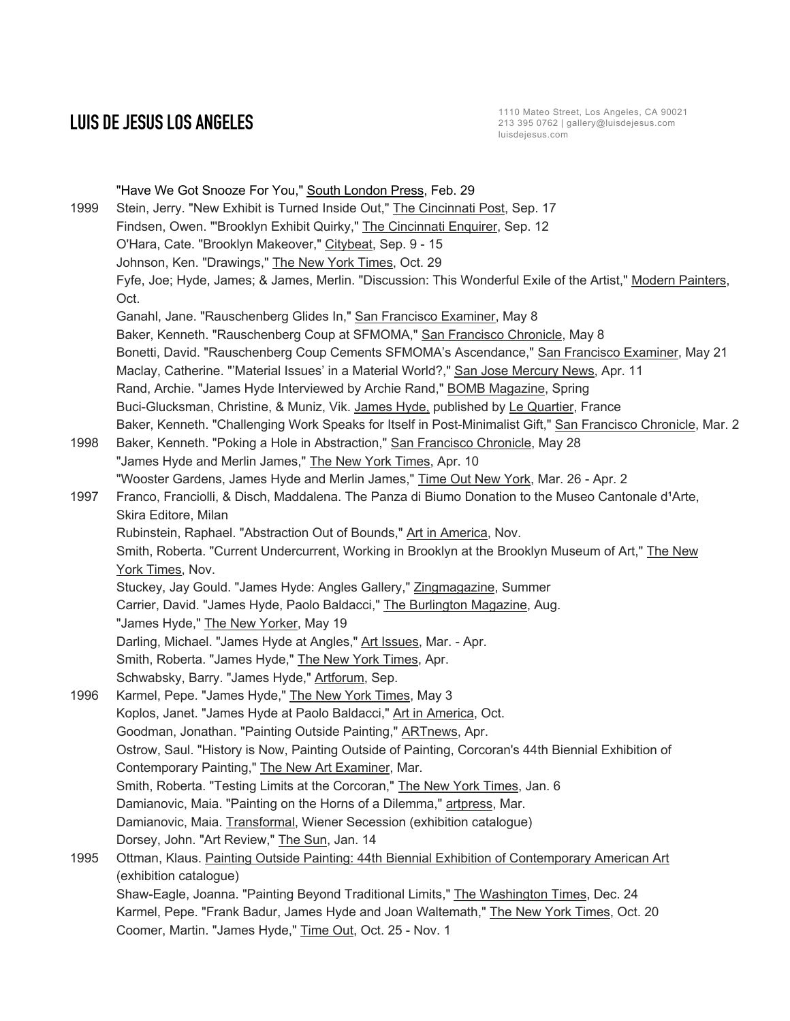"Have We Got Snooze For You," South London Press, Feb. 29 1999 Stein, Jerry. "New Exhibit is Turned Inside Out," The Cincinnati Post, Sep. 17 Findsen, Owen. "'Brooklyn Exhibit Quirky," The Cincinnati Enquirer, Sep. 12 O'Hara, Cate. "Brooklyn Makeover," Citybeat, Sep. 9 - 15 Johnson, Ken. "Drawings," The New York Times, Oct. 29 Fyfe, Joe; Hyde, James; & James, Merlin. "Discussion: This Wonderful Exile of the Artist," Modern Painters, Oct. Ganahl, Jane. "Rauschenberg Glides In," San Francisco Examiner, May 8 Baker, Kenneth. "Rauschenberg Coup at SFMOMA," San Francisco Chronicle, May 8 Bonetti, David. "Rauschenberg Coup Cements SFMOMA's Ascendance," San Francisco Examiner, May 21 Maclay, Catherine. "'Material Issues' in a Material World?," San Jose Mercury News, Apr. 11 Rand, Archie. "James Hyde Interviewed by Archie Rand," BOMB Magazine, Spring Buci-Glucksman, Christine, & Muniz, Vik. James Hyde, published by Le Quartier, France Baker, Kenneth. "Challenging Work Speaks for Itself in Post-Minimalist Gift," San Francisco Chronicle, Mar. 2 1998 Baker, Kenneth. "Poking a Hole in Abstraction," San Francisco Chronicle, May 28 "James Hyde and Merlin James," The New York Times, Apr. 10 "Wooster Gardens, James Hyde and Merlin James," Time Out New York, Mar. 26 - Apr. 2 1997 Franco, Franciolli, & Disch, Maddalena. The Panza di Biumo Donation to the Museo Cantonale d'Arte, Skira Editore, Milan Rubinstein, Raphael. "Abstraction Out of Bounds," Art in America, Nov. Smith, Roberta. "Current Undercurrent, Working in Brooklyn at the Brooklyn Museum of Art," The New York Times, Nov. Stuckey, Jay Gould. "James Hyde: Angles Gallery," Zingmagazine, Summer Carrier, David. "James Hyde, Paolo Baldacci," The Burlington Magazine, Aug. "James Hyde," The New Yorker, May 19 Darling, Michael. "James Hyde at Angles," Art Issues, Mar. - Apr. Smith, Roberta. "James Hyde," The New York Times, Apr. Schwabsky, Barry. "James Hyde," Artforum, Sep. 1996 Karmel, Pepe. "James Hyde," The New York Times, May 3 Koplos, Janet. "James Hyde at Paolo Baldacci," Art in America, Oct. Goodman, Jonathan. "Painting Outside Painting," ARTnews, Apr. Ostrow, Saul. "History is Now, Painting Outside of Painting, Corcoran's 44th Biennial Exhibition of Contemporary Painting," The New Art Examiner, Mar. Smith, Roberta. "Testing Limits at the Corcoran," The New York Times, Jan. 6 Damianovic, Maia. "Painting on the Horns of a Dilemma," artpress, Mar. Damianovic, Maia. Transformal, Wiener Secession (exhibition catalogue) Dorsey, John. "Art Review," The Sun, Jan. 14 1995 Ottman, Klaus. Painting Outside Painting: 44th Biennial Exhibition of Contemporary American Art (exhibition catalogue) Shaw-Eagle, Joanna. "Painting Beyond Traditional Limits," The Washington Times, Dec. 24 Karmel, Pepe. "Frank Badur, James Hyde and Joan Waltemath," The New York Times, Oct. 20 Coomer, Martin. "James Hyde," Time Out, Oct. 25 - Nov. 1